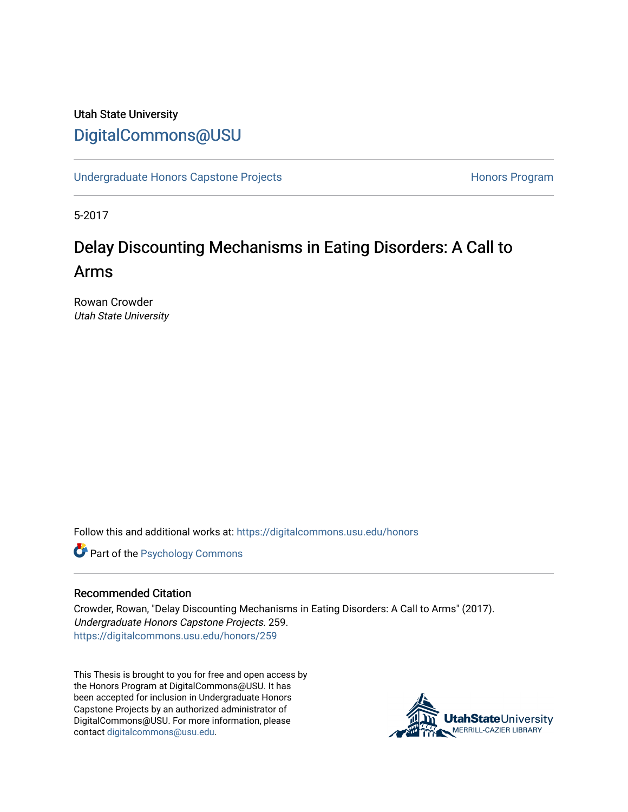# Utah State University [DigitalCommons@USU](https://digitalcommons.usu.edu/)

[Undergraduate Honors Capstone Projects](https://digitalcommons.usu.edu/honors) **Honors Program** Honors Program

5-2017

# Delay Discounting Mechanisms in Eating Disorders: A Call to Arms

Rowan Crowder Utah State University

Follow this and additional works at: [https://digitalcommons.usu.edu/honors](https://digitalcommons.usu.edu/honors?utm_source=digitalcommons.usu.edu%2Fhonors%2F259&utm_medium=PDF&utm_campaign=PDFCoverPages)

**Part of the Psychology Commons** 

#### Recommended Citation

Crowder, Rowan, "Delay Discounting Mechanisms in Eating Disorders: A Call to Arms" (2017). Undergraduate Honors Capstone Projects. 259. [https://digitalcommons.usu.edu/honors/259](https://digitalcommons.usu.edu/honors/259?utm_source=digitalcommons.usu.edu%2Fhonors%2F259&utm_medium=PDF&utm_campaign=PDFCoverPages)

This Thesis is brought to you for free and open access by the Honors Program at DigitalCommons@USU. It has been accepted for inclusion in Undergraduate Honors Capstone Projects by an authorized administrator of DigitalCommons@USU. For more information, please contact [digitalcommons@usu.edu](mailto:digitalcommons@usu.edu).

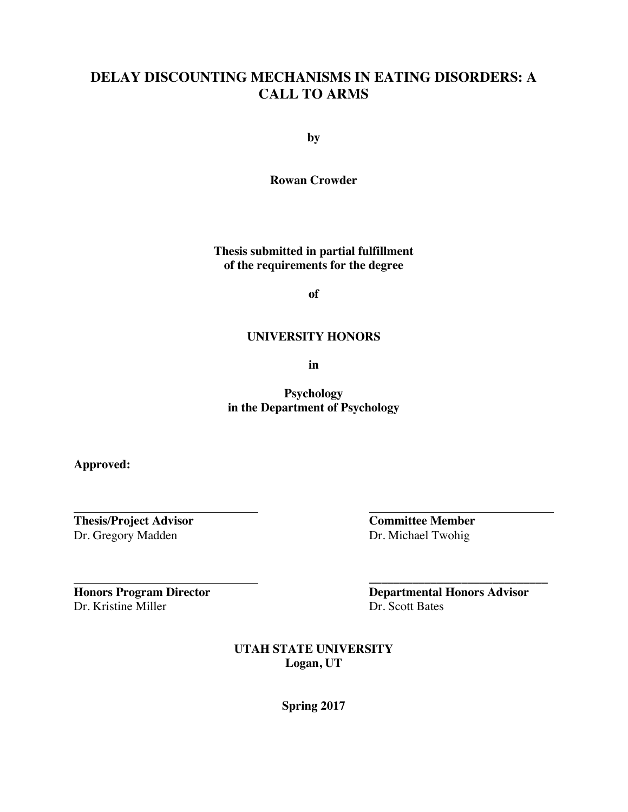## **DELAY DISCOUNTING MECHANISMS IN EATING DISORDERS: A CALL TO ARMS**

**by**

**Rowan Crowder**

**Thesis submitted in partial fulfillment of the requirements for the degree**

**of**

#### **UNIVERSITY HONORS**

**in**

**Psychology in the Department of Psychology**

**Approved:**

**Thesis/Project Advisor Committee Member** Dr. Gregory Madden Dr. Michael Twohig

Dr. Kristine Miller Dr. Scott Bates

**Honors Program Director Departmental Honors Advisor**

**\_\_\_\_\_\_\_\_\_\_\_\_\_\_\_\_\_\_\_\_\_\_\_\_\_\_\_\_\_**

**UTAH STATE UNIVERSITY Logan, UT**

**Spring 2017**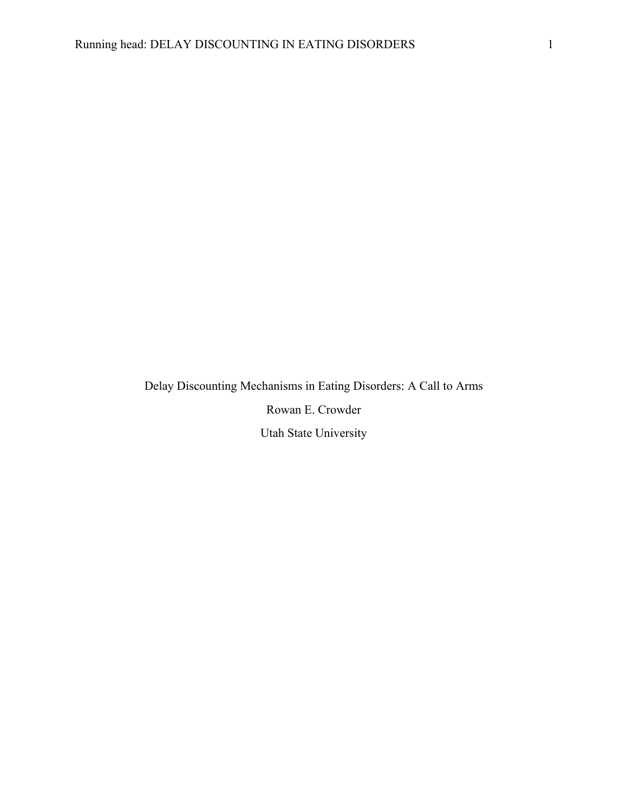Delay Discounting Mechanisms in Eating Disorders: A Call to Arms Rowan E. Crowder Utah State University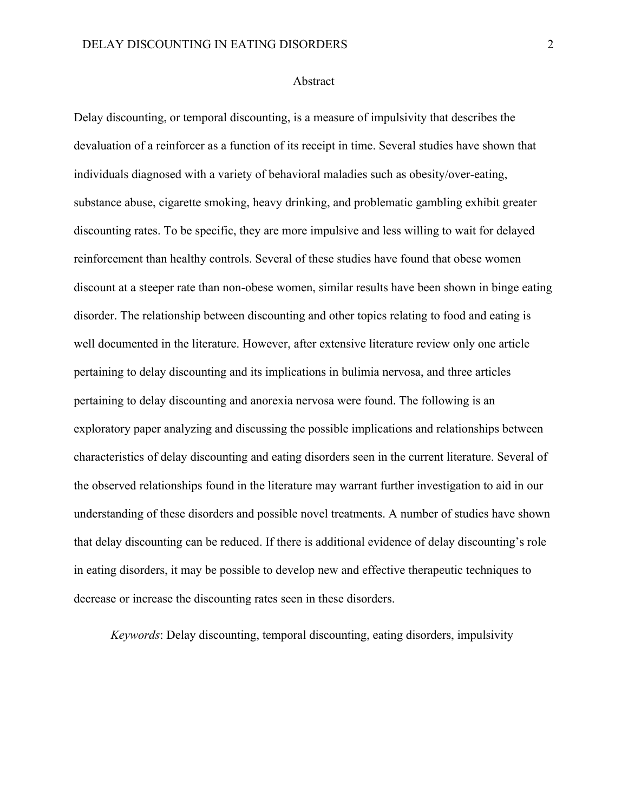#### Abstract

Delay discounting, or temporal discounting, is a measure of impulsivity that describes the devaluation of a reinforcer as a function of its receipt in time. Several studies have shown that individuals diagnosed with a variety of behavioral maladies such as obesity/over-eating, substance abuse, cigarette smoking, heavy drinking, and problematic gambling exhibit greater discounting rates. To be specific, they are more impulsive and less willing to wait for delayed reinforcement than healthy controls. Several of these studies have found that obese women discount at a steeper rate than non-obese women, similar results have been shown in binge eating disorder. The relationship between discounting and other topics relating to food and eating is well documented in the literature. However, after extensive literature review only one article pertaining to delay discounting and its implications in bulimia nervosa, and three articles pertaining to delay discounting and anorexia nervosa were found. The following is an exploratory paper analyzing and discussing the possible implications and relationships between characteristics of delay discounting and eating disorders seen in the current literature. Several of the observed relationships found in the literature may warrant further investigation to aid in our understanding of these disorders and possible novel treatments. A number of studies have shown that delay discounting can be reduced. If there is additional evidence of delay discounting's role in eating disorders, it may be possible to develop new and effective therapeutic techniques to decrease or increase the discounting rates seen in these disorders.

*Keywords*: Delay discounting, temporal discounting, eating disorders, impulsivity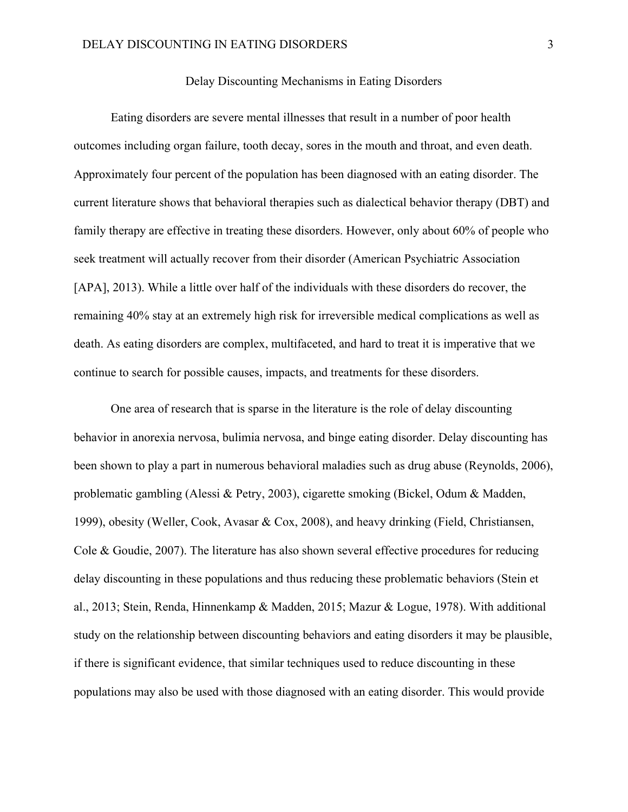## Delay Discounting Mechanisms in Eating Disorders

Eating disorders are severe mental illnesses that result in a number of poor health outcomes including organ failure, tooth decay, sores in the mouth and throat, and even death. Approximately four percent of the population has been diagnosed with an eating disorder. The current literature shows that behavioral therapies such as dialectical behavior therapy (DBT) and family therapy are effective in treating these disorders. However, only about 60% of people who seek treatment will actually recover from their disorder (American Psychiatric Association [APA], 2013). While a little over half of the individuals with these disorders do recover, the remaining 40% stay at an extremely high risk for irreversible medical complications as well as death. As eating disorders are complex, multifaceted, and hard to treat it is imperative that we continue to search for possible causes, impacts, and treatments for these disorders.

One area of research that is sparse in the literature is the role of delay discounting behavior in anorexia nervosa, bulimia nervosa, and binge eating disorder. Delay discounting has been shown to play a part in numerous behavioral maladies such as drug abuse (Reynolds, 2006), problematic gambling (Alessi & Petry, 2003), cigarette smoking (Bickel, Odum & Madden, 1999), obesity (Weller, Cook, Avasar & Cox, 2008), and heavy drinking (Field, Christiansen, Cole & Goudie, 2007). The literature has also shown several effective procedures for reducing delay discounting in these populations and thus reducing these problematic behaviors (Stein et al., 2013; Stein, Renda, Hinnenkamp & Madden, 2015; Mazur & Logue, 1978). With additional study on the relationship between discounting behaviors and eating disorders it may be plausible, if there is significant evidence, that similar techniques used to reduce discounting in these populations may also be used with those diagnosed with an eating disorder. This would provide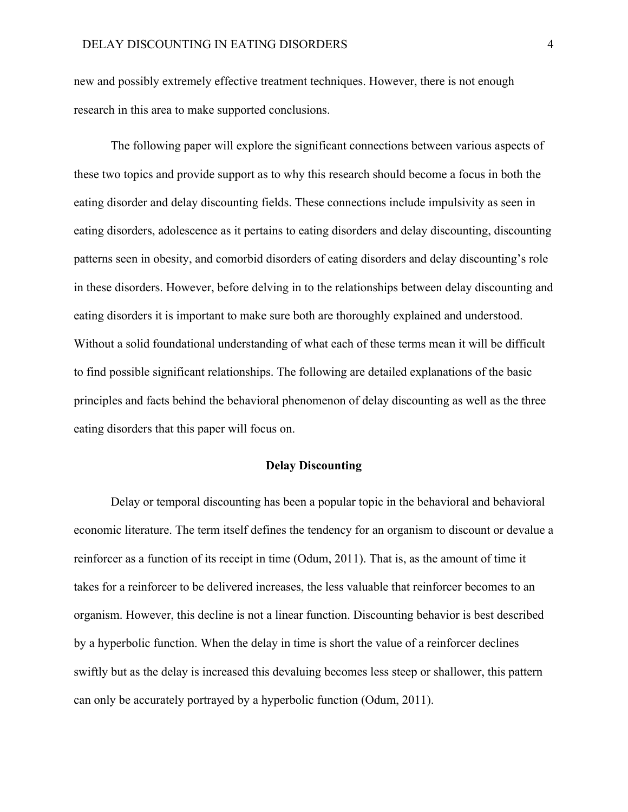new and possibly extremely effective treatment techniques. However, there is not enough research in this area to make supported conclusions.

The following paper will explore the significant connections between various aspects of these two topics and provide support as to why this research should become a focus in both the eating disorder and delay discounting fields. These connections include impulsivity as seen in eating disorders, adolescence as it pertains to eating disorders and delay discounting, discounting patterns seen in obesity, and comorbid disorders of eating disorders and delay discounting's role in these disorders. However, before delving in to the relationships between delay discounting and eating disorders it is important to make sure both are thoroughly explained and understood. Without a solid foundational understanding of what each of these terms mean it will be difficult to find possible significant relationships. The following are detailed explanations of the basic principles and facts behind the behavioral phenomenon of delay discounting as well as the three eating disorders that this paper will focus on.

### **Delay Discounting**

Delay or temporal discounting has been a popular topic in the behavioral and behavioral economic literature. The term itself defines the tendency for an organism to discount or devalue a reinforcer as a function of its receipt in time (Odum, 2011). That is, as the amount of time it takes for a reinforcer to be delivered increases, the less valuable that reinforcer becomes to an organism. However, this decline is not a linear function. Discounting behavior is best described by a hyperbolic function. When the delay in time is short the value of a reinforcer declines swiftly but as the delay is increased this devaluing becomes less steep or shallower, this pattern can only be accurately portrayed by a hyperbolic function (Odum, 2011).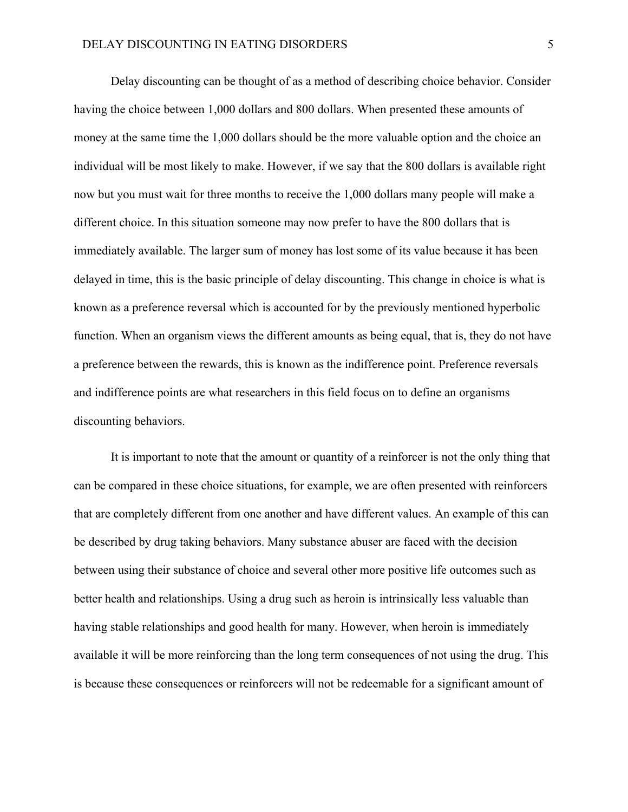Delay discounting can be thought of as a method of describing choice behavior. Consider having the choice between 1,000 dollars and 800 dollars. When presented these amounts of money at the same time the 1,000 dollars should be the more valuable option and the choice an individual will be most likely to make. However, if we say that the 800 dollars is available right now but you must wait for three months to receive the 1,000 dollars many people will make a different choice. In this situation someone may now prefer to have the 800 dollars that is immediately available. The larger sum of money has lost some of its value because it has been delayed in time, this is the basic principle of delay discounting. This change in choice is what is known as a preference reversal which is accounted for by the previously mentioned hyperbolic function. When an organism views the different amounts as being equal, that is, they do not have a preference between the rewards, this is known as the indifference point. Preference reversals and indifference points are what researchers in this field focus on to define an organisms discounting behaviors.

It is important to note that the amount or quantity of a reinforcer is not the only thing that can be compared in these choice situations, for example, we are often presented with reinforcers that are completely different from one another and have different values. An example of this can be described by drug taking behaviors. Many substance abuser are faced with the decision between using their substance of choice and several other more positive life outcomes such as better health and relationships. Using a drug such as heroin is intrinsically less valuable than having stable relationships and good health for many. However, when heroin is immediately available it will be more reinforcing than the long term consequences of not using the drug. This is because these consequences or reinforcers will not be redeemable for a significant amount of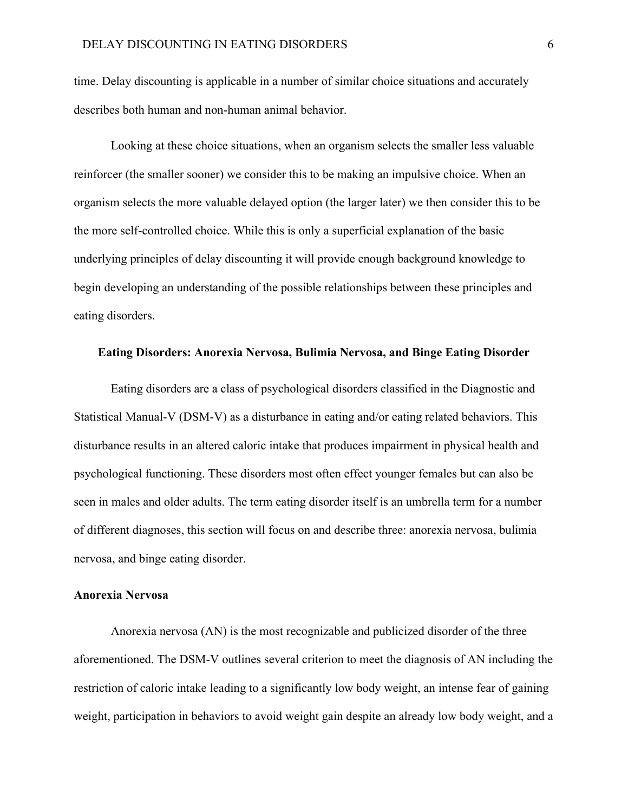time. Delay discounting is applicable in a number of similar choice situations and accurately describes both human and non-human animal behavior.

Looking at these choice situations, when an organism selects the smaller less valuable reinforcer (the smaller sooner) we consider this to be making an impulsive choice. When an organism selects the more valuable delayed option (the larger later) we then consider this to be the more self-controlled choice. While this is only a superficial explanation of the basic underlying principles of delay discounting it will provide enough background knowledge to begin developing an understanding of the possible relationships between these principles and eating disorders.

#### **Eating Disorders: Anorexia Nervosa, Bulimia Nervosa, and Binge Eating Disorder**

Eating disorders are a class of psychological disorders classified in the Diagnostic and Statistical Manual-V (DSM-V) as a disturbance in eating and/or eating related behaviors. This disturbance results in an altered caloric intake that produces impairment in physical health and psychological functioning. These disorders most often effect younger females but can also be seen in males and older adults. The term eating disorder itself is an umbrella term for a number of different diagnoses, this section will focus on and describe three: anorexia nervosa, bulimia nervosa, and binge eating disorder.

## **Anorexia Nervosa**

Anorexia nervosa (AN) is the most recognizable and publicized disorder of the three aforementioned. The DSM-V outlines several criterion to meet the diagnosis of AN including the restriction of caloric intake leading to a significantly low body weight, an intense fear of gaining weight, participation in behaviors to avoid weight gain despite an already low body weight, and a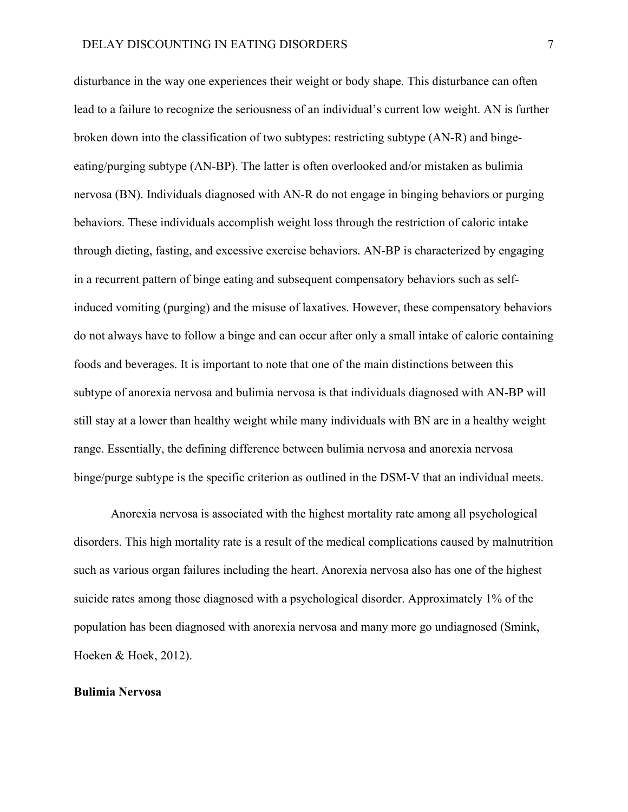disturbance in the way one experiences their weight or body shape. This disturbance can often lead to a failure to recognize the seriousness of an individual's current low weight. AN is further broken down into the classification of two subtypes: restricting subtype (AN-R) and bingeeating/purging subtype (AN-BP). The latter is often overlooked and/or mistaken as bulimia nervosa (BN). Individuals diagnosed with AN-R do not engage in binging behaviors or purging behaviors. These individuals accomplish weight loss through the restriction of caloric intake through dieting, fasting, and excessive exercise behaviors. AN-BP is characterized by engaging in a recurrent pattern of binge eating and subsequent compensatory behaviors such as selfinduced vomiting (purging) and the misuse of laxatives. However, these compensatory behaviors do not always have to follow a binge and can occur after only a small intake of calorie containing foods and beverages. It is important to note that one of the main distinctions between this subtype of anorexia nervosa and bulimia nervosa is that individuals diagnosed with AN-BP will still stay at a lower than healthy weight while many individuals with BN are in a healthy weight range. Essentially, the defining difference between bulimia nervosa and anorexia nervosa binge/purge subtype is the specific criterion as outlined in the DSM-V that an individual meets.

Anorexia nervosa is associated with the highest mortality rate among all psychological disorders. This high mortality rate is a result of the medical complications caused by malnutrition such as various organ failures including the heart. Anorexia nervosa also has one of the highest suicide rates among those diagnosed with a psychological disorder. Approximately 1% of the population has been diagnosed with anorexia nervosa and many more go undiagnosed (Smink, Hoeken & Hoek, 2012).

#### **Bulimia Nervosa**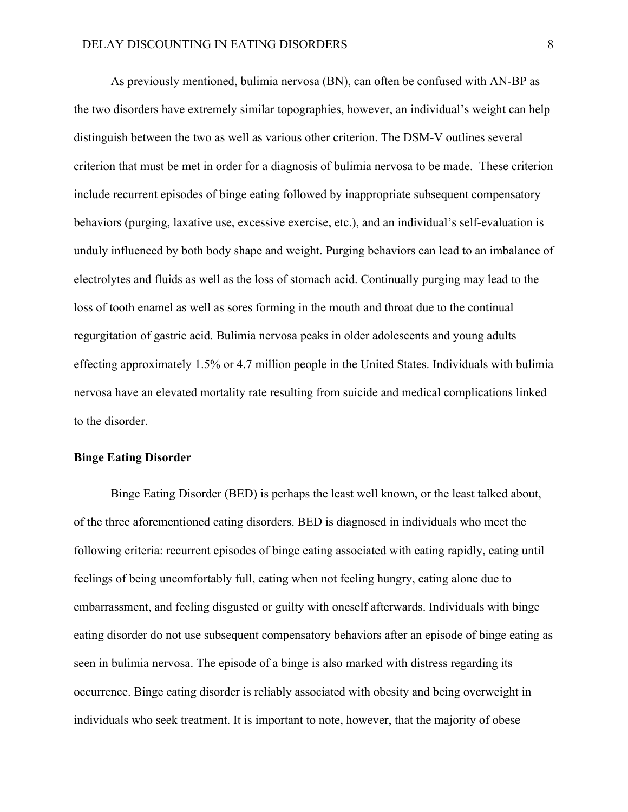As previously mentioned, bulimia nervosa (BN), can often be confused with AN-BP as the two disorders have extremely similar topographies, however, an individual's weight can help distinguish between the two as well as various other criterion. The DSM-V outlines several criterion that must be met in order for a diagnosis of bulimia nervosa to be made. These criterion include recurrent episodes of binge eating followed by inappropriate subsequent compensatory behaviors (purging, laxative use, excessive exercise, etc.), and an individual's self-evaluation is unduly influenced by both body shape and weight. Purging behaviors can lead to an imbalance of electrolytes and fluids as well as the loss of stomach acid. Continually purging may lead to the loss of tooth enamel as well as sores forming in the mouth and throat due to the continual regurgitation of gastric acid. Bulimia nervosa peaks in older adolescents and young adults effecting approximately 1.5% or 4.7 million people in the United States. Individuals with bulimia nervosa have an elevated mortality rate resulting from suicide and medical complications linked to the disorder.

#### **Binge Eating Disorder**

Binge Eating Disorder (BED) is perhaps the least well known, or the least talked about, of the three aforementioned eating disorders. BED is diagnosed in individuals who meet the following criteria: recurrent episodes of binge eating associated with eating rapidly, eating until feelings of being uncomfortably full, eating when not feeling hungry, eating alone due to embarrassment, and feeling disgusted or guilty with oneself afterwards. Individuals with binge eating disorder do not use subsequent compensatory behaviors after an episode of binge eating as seen in bulimia nervosa. The episode of a binge is also marked with distress regarding its occurrence. Binge eating disorder is reliably associated with obesity and being overweight in individuals who seek treatment. It is important to note, however, that the majority of obese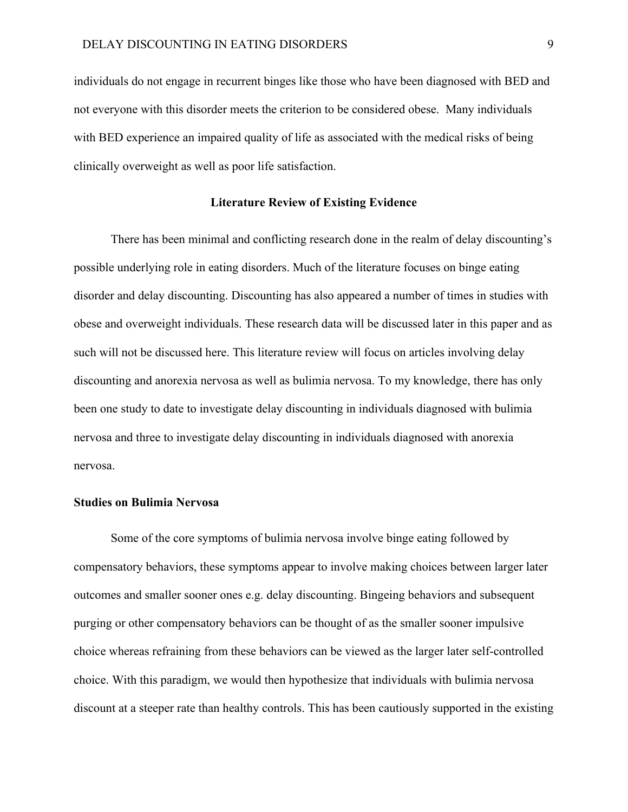individuals do not engage in recurrent binges like those who have been diagnosed with BED and not everyone with this disorder meets the criterion to be considered obese. Many individuals with BED experience an impaired quality of life as associated with the medical risks of being clinically overweight as well as poor life satisfaction.

## **Literature Review of Existing Evidence**

There has been minimal and conflicting research done in the realm of delay discounting's possible underlying role in eating disorders. Much of the literature focuses on binge eating disorder and delay discounting. Discounting has also appeared a number of times in studies with obese and overweight individuals. These research data will be discussed later in this paper and as such will not be discussed here. This literature review will focus on articles involving delay discounting and anorexia nervosa as well as bulimia nervosa. To my knowledge, there has only been one study to date to investigate delay discounting in individuals diagnosed with bulimia nervosa and three to investigate delay discounting in individuals diagnosed with anorexia nervosa.

## **Studies on Bulimia Nervosa**

Some of the core symptoms of bulimia nervosa involve binge eating followed by compensatory behaviors, these symptoms appear to involve making choices between larger later outcomes and smaller sooner ones e.g. delay discounting. Bingeing behaviors and subsequent purging or other compensatory behaviors can be thought of as the smaller sooner impulsive choice whereas refraining from these behaviors can be viewed as the larger later self-controlled choice. With this paradigm, we would then hypothesize that individuals with bulimia nervosa discount at a steeper rate than healthy controls. This has been cautiously supported in the existing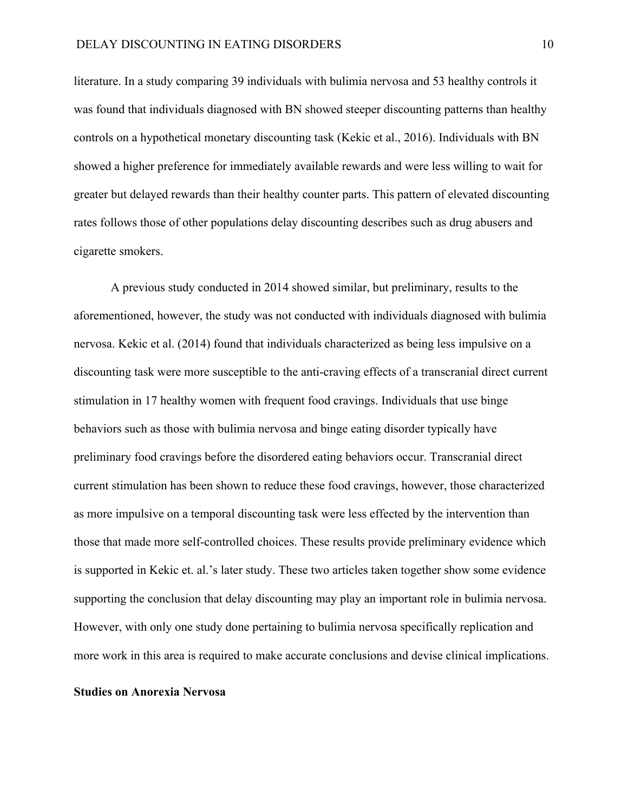literature. In a study comparing 39 individuals with bulimia nervosa and 53 healthy controls it was found that individuals diagnosed with BN showed steeper discounting patterns than healthy controls on a hypothetical monetary discounting task (Kekic et al., 2016). Individuals with BN showed a higher preference for immediately available rewards and were less willing to wait for greater but delayed rewards than their healthy counter parts. This pattern of elevated discounting rates follows those of other populations delay discounting describes such as drug abusers and cigarette smokers.

A previous study conducted in 2014 showed similar, but preliminary, results to the aforementioned, however, the study was not conducted with individuals diagnosed with bulimia nervosa. Kekic et al. (2014) found that individuals characterized as being less impulsive on a discounting task were more susceptible to the anti-craving effects of a transcranial direct current stimulation in 17 healthy women with frequent food cravings. Individuals that use binge behaviors such as those with bulimia nervosa and binge eating disorder typically have preliminary food cravings before the disordered eating behaviors occur. Transcranial direct current stimulation has been shown to reduce these food cravings, however, those characterized as more impulsive on a temporal discounting task were less effected by the intervention than those that made more self-controlled choices. These results provide preliminary evidence which is supported in Kekic et. al.'s later study. These two articles taken together show some evidence supporting the conclusion that delay discounting may play an important role in bulimia nervosa. However, with only one study done pertaining to bulimia nervosa specifically replication and more work in this area is required to make accurate conclusions and devise clinical implications.

#### **Studies on Anorexia Nervosa**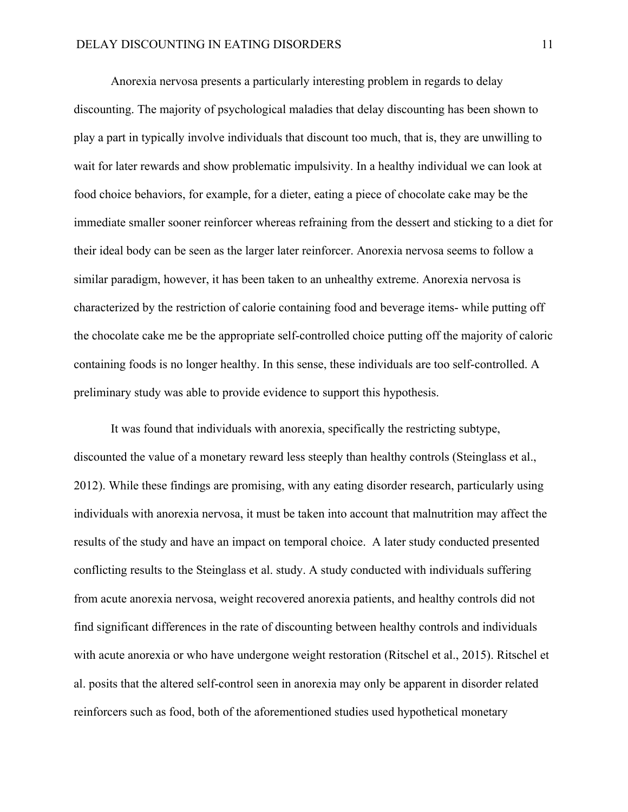Anorexia nervosa presents a particularly interesting problem in regards to delay discounting. The majority of psychological maladies that delay discounting has been shown to play a part in typically involve individuals that discount too much, that is, they are unwilling to wait for later rewards and show problematic impulsivity. In a healthy individual we can look at food choice behaviors, for example, for a dieter, eating a piece of chocolate cake may be the immediate smaller sooner reinforcer whereas refraining from the dessert and sticking to a diet for their ideal body can be seen as the larger later reinforcer. Anorexia nervosa seems to follow a similar paradigm, however, it has been taken to an unhealthy extreme. Anorexia nervosa is characterized by the restriction of calorie containing food and beverage items- while putting off the chocolate cake me be the appropriate self-controlled choice putting off the majority of caloric containing foods is no longer healthy. In this sense, these individuals are too self-controlled. A preliminary study was able to provide evidence to support this hypothesis.

It was found that individuals with anorexia, specifically the restricting subtype, discounted the value of a monetary reward less steeply than healthy controls (Steinglass et al., 2012). While these findings are promising, with any eating disorder research, particularly using individuals with anorexia nervosa, it must be taken into account that malnutrition may affect the results of the study and have an impact on temporal choice. A later study conducted presented conflicting results to the Steinglass et al. study. A study conducted with individuals suffering from acute anorexia nervosa, weight recovered anorexia patients, and healthy controls did not find significant differences in the rate of discounting between healthy controls and individuals with acute anorexia or who have undergone weight restoration (Ritschel et al., 2015). Ritschel et al. posits that the altered self-control seen in anorexia may only be apparent in disorder related reinforcers such as food, both of the aforementioned studies used hypothetical monetary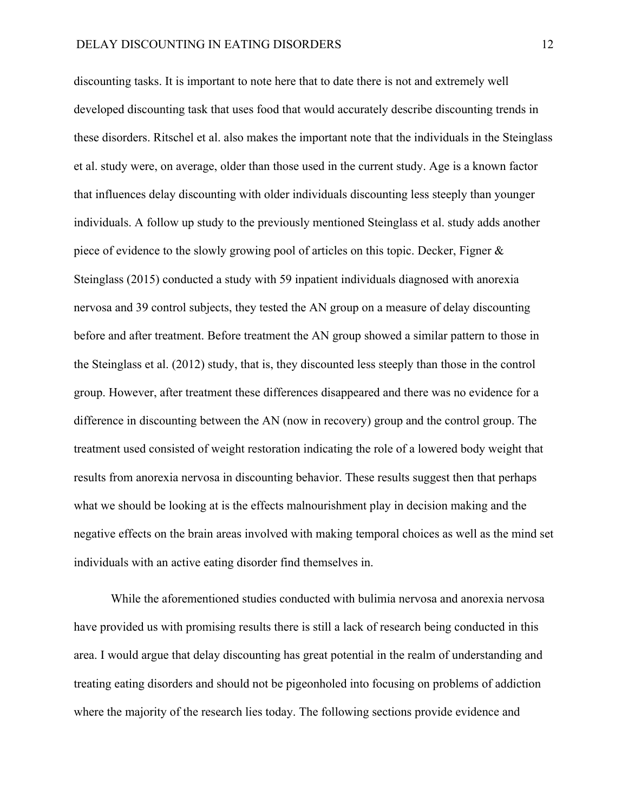discounting tasks. It is important to note here that to date there is not and extremely well developed discounting task that uses food that would accurately describe discounting trends in these disorders. Ritschel et al. also makes the important note that the individuals in the Steinglass et al. study were, on average, older than those used in the current study. Age is a known factor that influences delay discounting with older individuals discounting less steeply than younger individuals. A follow up study to the previously mentioned Steinglass et al. study adds another piece of evidence to the slowly growing pool of articles on this topic. Decker, Figner & Steinglass (2015) conducted a study with 59 inpatient individuals diagnosed with anorexia nervosa and 39 control subjects, they tested the AN group on a measure of delay discounting before and after treatment. Before treatment the AN group showed a similar pattern to those in the Steinglass et al. (2012) study, that is, they discounted less steeply than those in the control group. However, after treatment these differences disappeared and there was no evidence for a difference in discounting between the AN (now in recovery) group and the control group. The treatment used consisted of weight restoration indicating the role of a lowered body weight that results from anorexia nervosa in discounting behavior. These results suggest then that perhaps what we should be looking at is the effects malnourishment play in decision making and the negative effects on the brain areas involved with making temporal choices as well as the mind set individuals with an active eating disorder find themselves in.

While the aforementioned studies conducted with bulimia nervosa and anorexia nervosa have provided us with promising results there is still a lack of research being conducted in this area. I would argue that delay discounting has great potential in the realm of understanding and treating eating disorders and should not be pigeonholed into focusing on problems of addiction where the majority of the research lies today. The following sections provide evidence and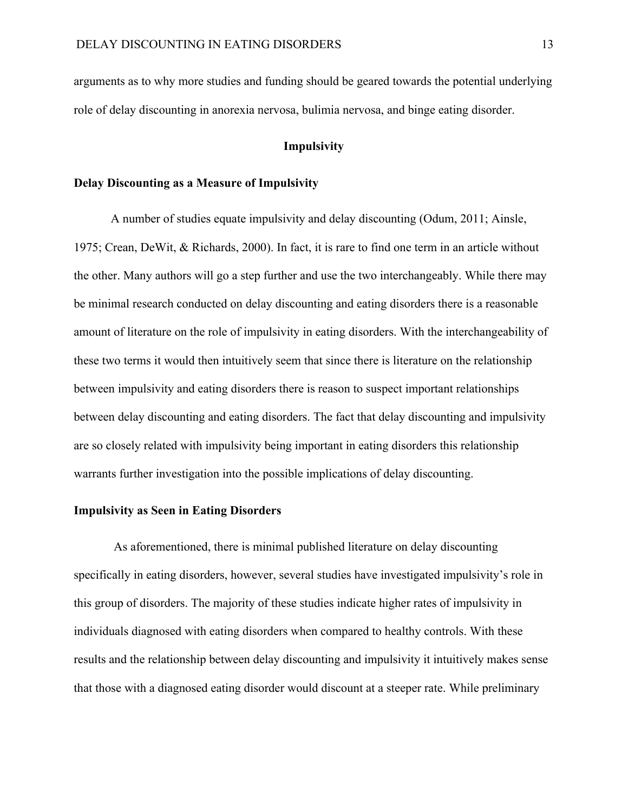arguments as to why more studies and funding should be geared towards the potential underlying role of delay discounting in anorexia nervosa, bulimia nervosa, and binge eating disorder.

#### **Impulsivity**

## **Delay Discounting as a Measure of Impulsivity**

A number of studies equate impulsivity and delay discounting (Odum, 2011; Ainsle, 1975; Crean, DeWit, & Richards, 2000). In fact, it is rare to find one term in an article without the other. Many authors will go a step further and use the two interchangeably. While there may be minimal research conducted on delay discounting and eating disorders there is a reasonable amount of literature on the role of impulsivity in eating disorders. With the interchangeability of these two terms it would then intuitively seem that since there is literature on the relationship between impulsivity and eating disorders there is reason to suspect important relationships between delay discounting and eating disorders. The fact that delay discounting and impulsivity are so closely related with impulsivity being important in eating disorders this relationship warrants further investigation into the possible implications of delay discounting.

## **Impulsivity as Seen in Eating Disorders**

As aforementioned, there is minimal published literature on delay discounting specifically in eating disorders, however, several studies have investigated impulsivity's role in this group of disorders. The majority of these studies indicate higher rates of impulsivity in individuals diagnosed with eating disorders when compared to healthy controls. With these results and the relationship between delay discounting and impulsivity it intuitively makes sense that those with a diagnosed eating disorder would discount at a steeper rate. While preliminary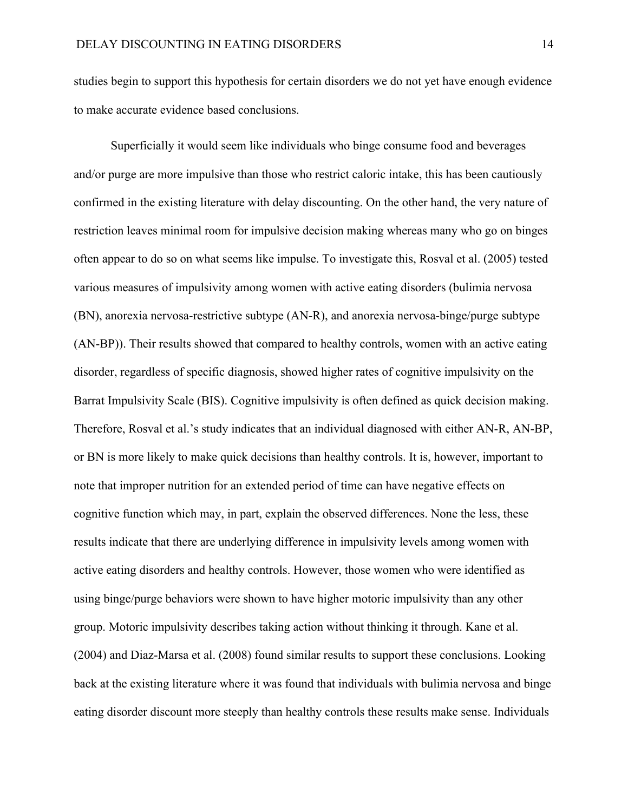studies begin to support this hypothesis for certain disorders we do not yet have enough evidence to make accurate evidence based conclusions.

Superficially it would seem like individuals who binge consume food and beverages and/or purge are more impulsive than those who restrict caloric intake, this has been cautiously confirmed in the existing literature with delay discounting. On the other hand, the very nature of restriction leaves minimal room for impulsive decision making whereas many who go on binges often appear to do so on what seems like impulse. To investigate this, Rosval et al. (2005) tested various measures of impulsivity among women with active eating disorders (bulimia nervosa (BN), anorexia nervosa-restrictive subtype (AN-R), and anorexia nervosa-binge/purge subtype (AN-BP)). Their results showed that compared to healthy controls, women with an active eating disorder, regardless of specific diagnosis, showed higher rates of cognitive impulsivity on the Barrat Impulsivity Scale (BIS). Cognitive impulsivity is often defined as quick decision making. Therefore, Rosval et al.'s study indicates that an individual diagnosed with either AN-R, AN-BP, or BN is more likely to make quick decisions than healthy controls. It is, however, important to note that improper nutrition for an extended period of time can have negative effects on cognitive function which may, in part, explain the observed differences. None the less, these results indicate that there are underlying difference in impulsivity levels among women with active eating disorders and healthy controls. However, those women who were identified as using binge/purge behaviors were shown to have higher motoric impulsivity than any other group. Motoric impulsivity describes taking action without thinking it through. Kane et al. (2004) and Diaz-Marsa et al. (2008) found similar results to support these conclusions. Looking back at the existing literature where it was found that individuals with bulimia nervosa and binge eating disorder discount more steeply than healthy controls these results make sense. Individuals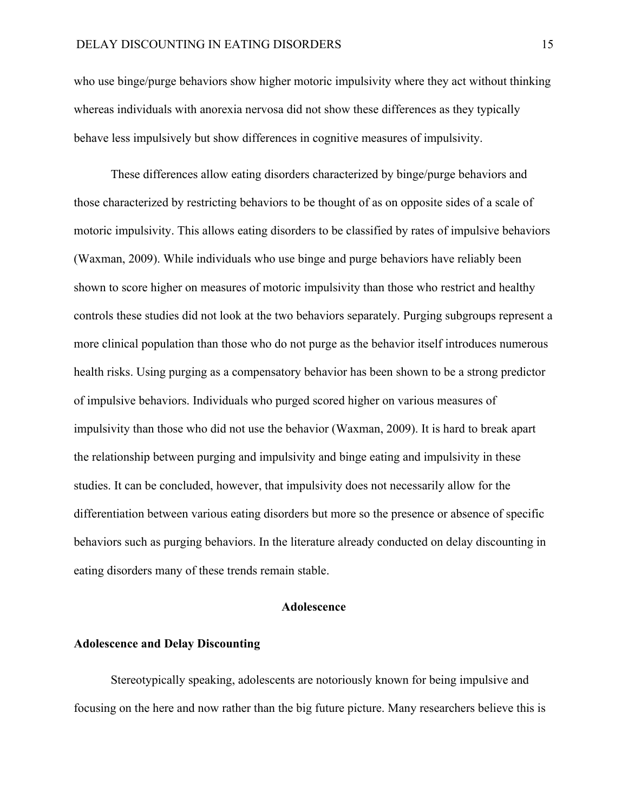who use binge/purge behaviors show higher motoric impulsivity where they act without thinking whereas individuals with anorexia nervosa did not show these differences as they typically behave less impulsively but show differences in cognitive measures of impulsivity.

These differences allow eating disorders characterized by binge/purge behaviors and those characterized by restricting behaviors to be thought of as on opposite sides of a scale of motoric impulsivity. This allows eating disorders to be classified by rates of impulsive behaviors (Waxman, 2009). While individuals who use binge and purge behaviors have reliably been shown to score higher on measures of motoric impulsivity than those who restrict and healthy controls these studies did not look at the two behaviors separately. Purging subgroups represent a more clinical population than those who do not purge as the behavior itself introduces numerous health risks. Using purging as a compensatory behavior has been shown to be a strong predictor of impulsive behaviors. Individuals who purged scored higher on various measures of impulsivity than those who did not use the behavior (Waxman, 2009). It is hard to break apart the relationship between purging and impulsivity and binge eating and impulsivity in these studies. It can be concluded, however, that impulsivity does not necessarily allow for the differentiation between various eating disorders but more so the presence or absence of specific behaviors such as purging behaviors. In the literature already conducted on delay discounting in eating disorders many of these trends remain stable.

## **Adolescence**

## **Adolescence and Delay Discounting**

Stereotypically speaking, adolescents are notoriously known for being impulsive and focusing on the here and now rather than the big future picture. Many researchers believe this is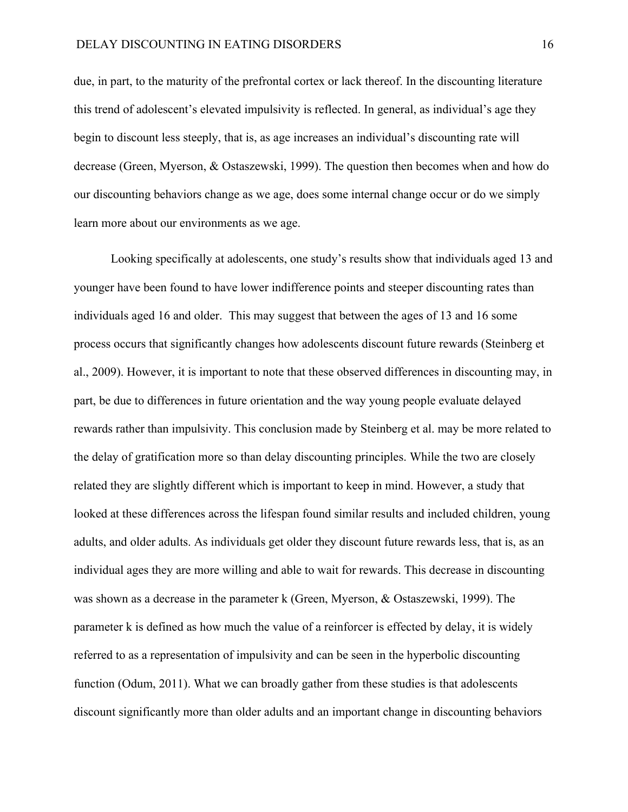due, in part, to the maturity of the prefrontal cortex or lack thereof. In the discounting literature this trend of adolescent's elevated impulsivity is reflected. In general, as individual's age they begin to discount less steeply, that is, as age increases an individual's discounting rate will decrease (Green, Myerson, & Ostaszewski, 1999). The question then becomes when and how do our discounting behaviors change as we age, does some internal change occur or do we simply learn more about our environments as we age.

Looking specifically at adolescents, one study's results show that individuals aged 13 and younger have been found to have lower indifference points and steeper discounting rates than individuals aged 16 and older. This may suggest that between the ages of 13 and 16 some process occurs that significantly changes how adolescents discount future rewards (Steinberg et al., 2009). However, it is important to note that these observed differences in discounting may, in part, be due to differences in future orientation and the way young people evaluate delayed rewards rather than impulsivity. This conclusion made by Steinberg et al. may be more related to the delay of gratification more so than delay discounting principles. While the two are closely related they are slightly different which is important to keep in mind. However, a study that looked at these differences across the lifespan found similar results and included children, young adults, and older adults. As individuals get older they discount future rewards less, that is, as an individual ages they are more willing and able to wait for rewards. This decrease in discounting was shown as a decrease in the parameter k (Green, Myerson, & Ostaszewski, 1999). The parameter k is defined as how much the value of a reinforcer is effected by delay, it is widely referred to as a representation of impulsivity and can be seen in the hyperbolic discounting function (Odum, 2011). What we can broadly gather from these studies is that adolescents discount significantly more than older adults and an important change in discounting behaviors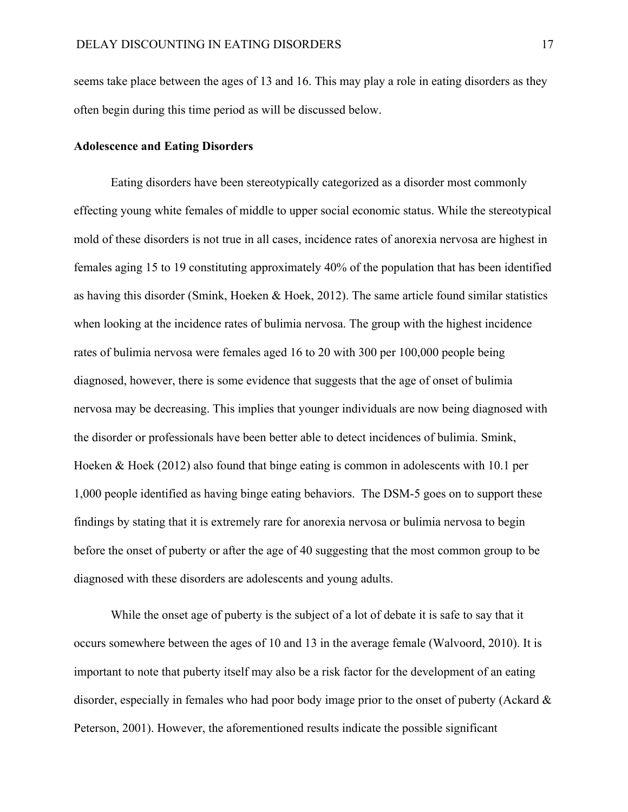seems take place between the ages of 13 and 16. This may play a role in eating disorders as they often begin during this time period as will be discussed below.

## **Adolescence and Eating Disorders**

Eating disorders have been stereotypically categorized as a disorder most commonly effecting young white females of middle to upper social economic status. While the stereotypical mold of these disorders is not true in all cases, incidence rates of anorexia nervosa are highest in females aging 15 to 19 constituting approximately 40% of the population that has been identified as having this disorder (Smink, Hoeken  $\&$  Hoek, 2012). The same article found similar statistics when looking at the incidence rates of bulimia nervosa. The group with the highest incidence rates of bulimia nervosa were females aged 16 to 20 with 300 per 100,000 people being diagnosed, however, there is some evidence that suggests that the age of onset of bulimia nervosa may be decreasing. This implies that younger individuals are now being diagnosed with the disorder or professionals have been better able to detect incidences of bulimia. Smink, Hoeken & Hoek (2012) also found that binge eating is common in adolescents with 10.1 per 1,000 people identified as having binge eating behaviors. The DSM-5 goes on to support these findings by stating that it is extremely rare for anorexia nervosa or bulimia nervosa to begin before the onset of puberty or after the age of 40 suggesting that the most common group to be diagnosed with these disorders are adolescents and young adults.

While the onset age of puberty is the subject of a lot of debate it is safe to say that it occurs somewhere between the ages of 10 and 13 in the average female (Walvoord, 2010). It is important to note that puberty itself may also be a risk factor for the development of an eating disorder, especially in females who had poor body image prior to the onset of puberty (Ackard  $\&$ Peterson, 2001). However, the aforementioned results indicate the possible significant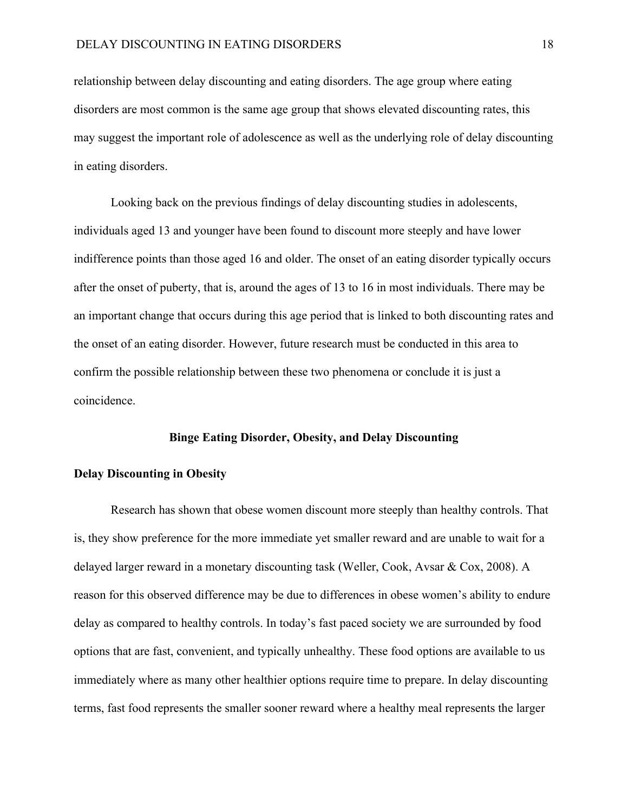relationship between delay discounting and eating disorders. The age group where eating disorders are most common is the same age group that shows elevated discounting rates, this may suggest the important role of adolescence as well as the underlying role of delay discounting in eating disorders.

Looking back on the previous findings of delay discounting studies in adolescents, individuals aged 13 and younger have been found to discount more steeply and have lower indifference points than those aged 16 and older. The onset of an eating disorder typically occurs after the onset of puberty, that is, around the ages of 13 to 16 in most individuals. There may be an important change that occurs during this age period that is linked to both discounting rates and the onset of an eating disorder. However, future research must be conducted in this area to confirm the possible relationship between these two phenomena or conclude it is just a coincidence.

#### **Binge Eating Disorder, Obesity, and Delay Discounting**

## **Delay Discounting in Obesity**

Research has shown that obese women discount more steeply than healthy controls. That is, they show preference for the more immediate yet smaller reward and are unable to wait for a delayed larger reward in a monetary discounting task (Weller, Cook, Avsar & Cox, 2008). A reason for this observed difference may be due to differences in obese women's ability to endure delay as compared to healthy controls. In today's fast paced society we are surrounded by food options that are fast, convenient, and typically unhealthy. These food options are available to us immediately where as many other healthier options require time to prepare. In delay discounting terms, fast food represents the smaller sooner reward where a healthy meal represents the larger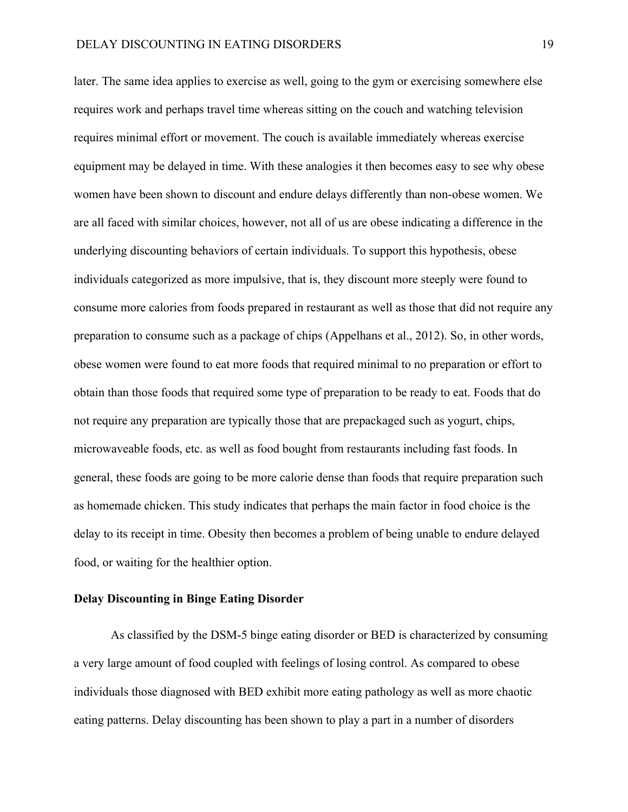later. The same idea applies to exercise as well, going to the gym or exercising somewhere else requires work and perhaps travel time whereas sitting on the couch and watching television requires minimal effort or movement. The couch is available immediately whereas exercise equipment may be delayed in time. With these analogies it then becomes easy to see why obese women have been shown to discount and endure delays differently than non-obese women. We are all faced with similar choices, however, not all of us are obese indicating a difference in the underlying discounting behaviors of certain individuals. To support this hypothesis, obese individuals categorized as more impulsive, that is, they discount more steeply were found to consume more calories from foods prepared in restaurant as well as those that did not require any preparation to consume such as a package of chips (Appelhans et al., 2012). So, in other words, obese women were found to eat more foods that required minimal to no preparation or effort to obtain than those foods that required some type of preparation to be ready to eat. Foods that do not require any preparation are typically those that are prepackaged such as yogurt, chips, microwaveable foods, etc. as well as food bought from restaurants including fast foods. In general, these foods are going to be more calorie dense than foods that require preparation such as homemade chicken. This study indicates that perhaps the main factor in food choice is the delay to its receipt in time. Obesity then becomes a problem of being unable to endure delayed food, or waiting for the healthier option.

## **Delay Discounting in Binge Eating Disorder**

As classified by the DSM-5 binge eating disorder or BED is characterized by consuming a very large amount of food coupled with feelings of losing control. As compared to obese individuals those diagnosed with BED exhibit more eating pathology as well as more chaotic eating patterns. Delay discounting has been shown to play a part in a number of disorders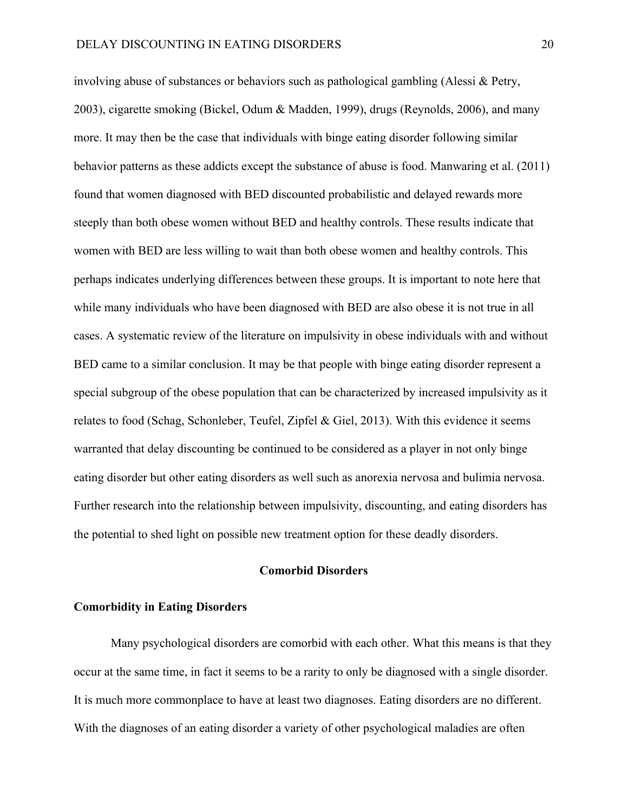involving abuse of substances or behaviors such as pathological gambling (Alessi & Petry, 2003), cigarette smoking (Bickel, Odum & Madden, 1999), drugs (Reynolds, 2006), and many more. It may then be the case that individuals with binge eating disorder following similar behavior patterns as these addicts except the substance of abuse is food. Manwaring et al. (2011) found that women diagnosed with BED discounted probabilistic and delayed rewards more steeply than both obese women without BED and healthy controls. These results indicate that women with BED are less willing to wait than both obese women and healthy controls. This perhaps indicates underlying differences between these groups. It is important to note here that while many individuals who have been diagnosed with BED are also obese it is not true in all cases. A systematic review of the literature on impulsivity in obese individuals with and without BED came to a similar conclusion. It may be that people with binge eating disorder represent a special subgroup of the obese population that can be characterized by increased impulsivity as it relates to food (Schag, Schonleber, Teufel, Zipfel & Giel, 2013). With this evidence it seems warranted that delay discounting be continued to be considered as a player in not only binge eating disorder but other eating disorders as well such as anorexia nervosa and bulimia nervosa. Further research into the relationship between impulsivity, discounting, and eating disorders has the potential to shed light on possible new treatment option for these deadly disorders.

## **Comorbid Disorders**

## **Comorbidity in Eating Disorders**

Many psychological disorders are comorbid with each other. What this means is that they occur at the same time, in fact it seems to be a rarity to only be diagnosed with a single disorder. It is much more commonplace to have at least two diagnoses. Eating disorders are no different. With the diagnoses of an eating disorder a variety of other psychological maladies are often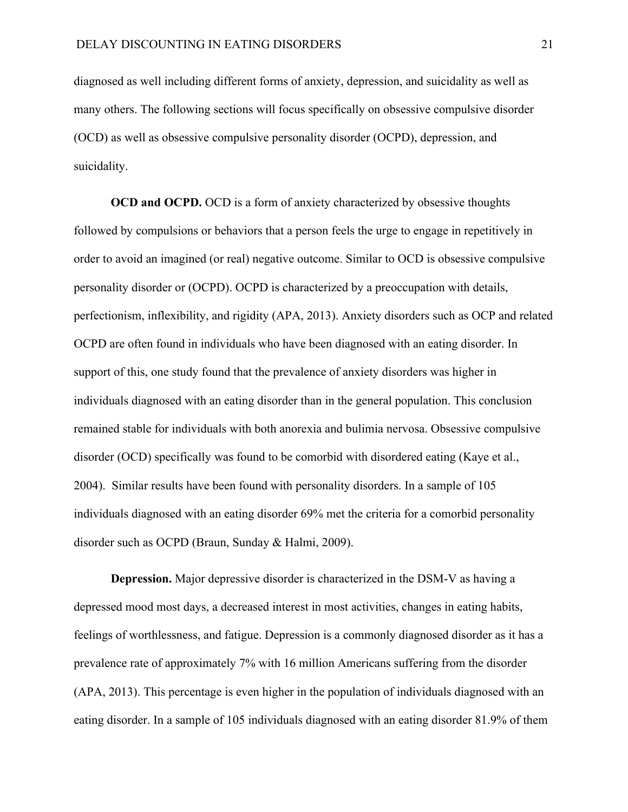diagnosed as well including different forms of anxiety, depression, and suicidality as well as many others. The following sections will focus specifically on obsessive compulsive disorder (OCD) as well as obsessive compulsive personality disorder (OCPD), depression, and suicidality.

**OCD and OCPD.** OCD is a form of anxiety characterized by obsessive thoughts followed by compulsions or behaviors that a person feels the urge to engage in repetitively in order to avoid an imagined (or real) negative outcome. Similar to OCD is obsessive compulsive personality disorder or (OCPD). OCPD is characterized by a preoccupation with details, perfectionism, inflexibility, and rigidity (APA, 2013). Anxiety disorders such as OCP and related OCPD are often found in individuals who have been diagnosed with an eating disorder. In support of this, one study found that the prevalence of anxiety disorders was higher in individuals diagnosed with an eating disorder than in the general population. This conclusion remained stable for individuals with both anorexia and bulimia nervosa. Obsessive compulsive disorder (OCD) specifically was found to be comorbid with disordered eating (Kaye et al., 2004). Similar results have been found with personality disorders. In a sample of 105 individuals diagnosed with an eating disorder 69% met the criteria for a comorbid personality disorder such as OCPD (Braun, Sunday & Halmi, 2009).

**Depression.** Major depressive disorder is characterized in the DSM-V as having a depressed mood most days, a decreased interest in most activities, changes in eating habits, feelings of worthlessness, and fatigue. Depression is a commonly diagnosed disorder as it has a prevalence rate of approximately 7% with 16 million Americans suffering from the disorder (APA, 2013). This percentage is even higher in the population of individuals diagnosed with an eating disorder. In a sample of 105 individuals diagnosed with an eating disorder 81.9% of them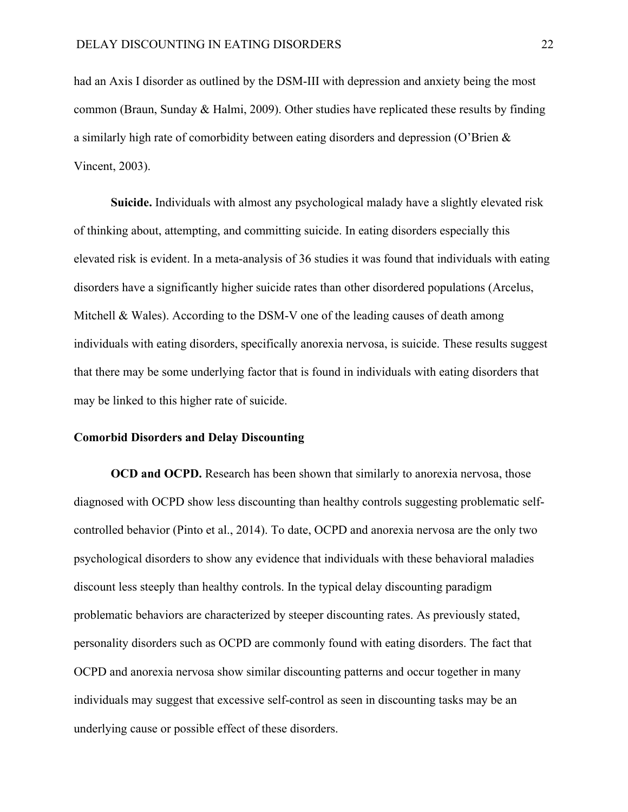had an Axis I disorder as outlined by the DSM-III with depression and anxiety being the most common (Braun, Sunday & Halmi, 2009). Other studies have replicated these results by finding a similarly high rate of comorbidity between eating disorders and depression (O'Brien & Vincent, 2003).

**Suicide.** Individuals with almost any psychological malady have a slightly elevated risk of thinking about, attempting, and committing suicide. In eating disorders especially this elevated risk is evident. In a meta-analysis of 36 studies it was found that individuals with eating disorders have a significantly higher suicide rates than other disordered populations (Arcelus, Mitchell & Wales). According to the DSM-V one of the leading causes of death among individuals with eating disorders, specifically anorexia nervosa, is suicide. These results suggest that there may be some underlying factor that is found in individuals with eating disorders that may be linked to this higher rate of suicide.

#### **Comorbid Disorders and Delay Discounting**

**OCD and OCPD.** Research has been shown that similarly to anorexia nervosa, those diagnosed with OCPD show less discounting than healthy controls suggesting problematic selfcontrolled behavior (Pinto et al., 2014). To date, OCPD and anorexia nervosa are the only two psychological disorders to show any evidence that individuals with these behavioral maladies discount less steeply than healthy controls. In the typical delay discounting paradigm problematic behaviors are characterized by steeper discounting rates. As previously stated, personality disorders such as OCPD are commonly found with eating disorders. The fact that OCPD and anorexia nervosa show similar discounting patterns and occur together in many individuals may suggest that excessive self-control as seen in discounting tasks may be an underlying cause or possible effect of these disorders.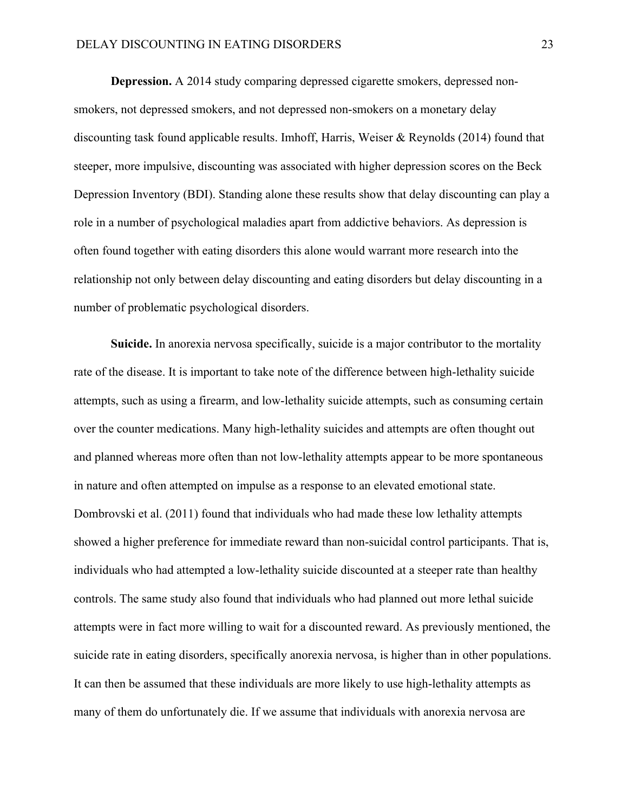## DELAY DISCOUNTING IN EATING DISORDERS 23

**Depression.** A 2014 study comparing depressed cigarette smokers, depressed nonsmokers, not depressed smokers, and not depressed non-smokers on a monetary delay discounting task found applicable results. Imhoff, Harris, Weiser & Reynolds (2014) found that steeper, more impulsive, discounting was associated with higher depression scores on the Beck Depression Inventory (BDI). Standing alone these results show that delay discounting can play a role in a number of psychological maladies apart from addictive behaviors. As depression is often found together with eating disorders this alone would warrant more research into the relationship not only between delay discounting and eating disorders but delay discounting in a number of problematic psychological disorders.

**Suicide.** In anorexia nervosa specifically, suicide is a major contributor to the mortality rate of the disease. It is important to take note of the difference between high-lethality suicide attempts, such as using a firearm, and low-lethality suicide attempts, such as consuming certain over the counter medications. Many high-lethality suicides and attempts are often thought out and planned whereas more often than not low-lethality attempts appear to be more spontaneous in nature and often attempted on impulse as a response to an elevated emotional state. Dombrovski et al. (2011) found that individuals who had made these low lethality attempts showed a higher preference for immediate reward than non-suicidal control participants. That is, individuals who had attempted a low-lethality suicide discounted at a steeper rate than healthy controls. The same study also found that individuals who had planned out more lethal suicide attempts were in fact more willing to wait for a discounted reward. As previously mentioned, the suicide rate in eating disorders, specifically anorexia nervosa, is higher than in other populations. It can then be assumed that these individuals are more likely to use high-lethality attempts as many of them do unfortunately die. If we assume that individuals with anorexia nervosa are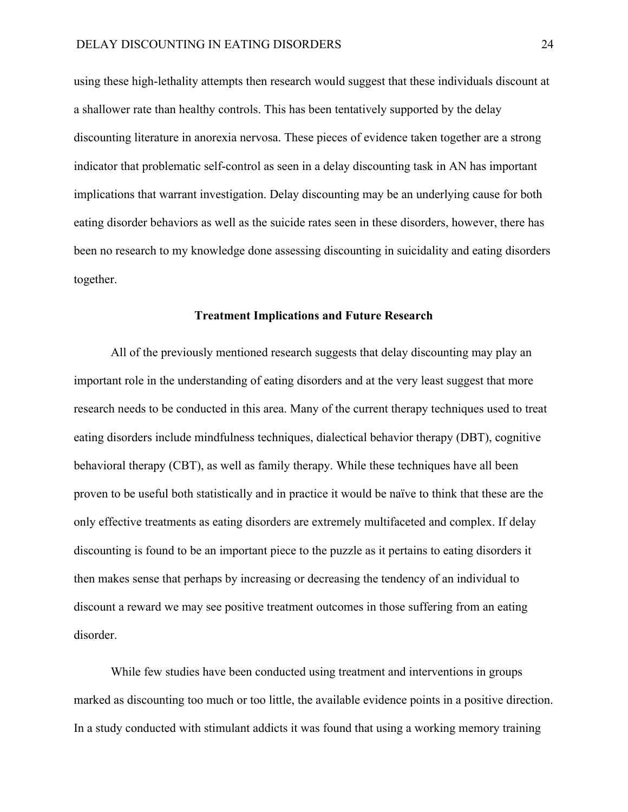using these high-lethality attempts then research would suggest that these individuals discount at a shallower rate than healthy controls. This has been tentatively supported by the delay discounting literature in anorexia nervosa. These pieces of evidence taken together are a strong indicator that problematic self-control as seen in a delay discounting task in AN has important implications that warrant investigation. Delay discounting may be an underlying cause for both eating disorder behaviors as well as the suicide rates seen in these disorders, however, there has been no research to my knowledge done assessing discounting in suicidality and eating disorders together.

## **Treatment Implications and Future Research**

All of the previously mentioned research suggests that delay discounting may play an important role in the understanding of eating disorders and at the very least suggest that more research needs to be conducted in this area. Many of the current therapy techniques used to treat eating disorders include mindfulness techniques, dialectical behavior therapy (DBT), cognitive behavioral therapy (CBT), as well as family therapy. While these techniques have all been proven to be useful both statistically and in practice it would be naïve to think that these are the only effective treatments as eating disorders are extremely multifaceted and complex. If delay discounting is found to be an important piece to the puzzle as it pertains to eating disorders it then makes sense that perhaps by increasing or decreasing the tendency of an individual to discount a reward we may see positive treatment outcomes in those suffering from an eating disorder.

While few studies have been conducted using treatment and interventions in groups marked as discounting too much or too little, the available evidence points in a positive direction. In a study conducted with stimulant addicts it was found that using a working memory training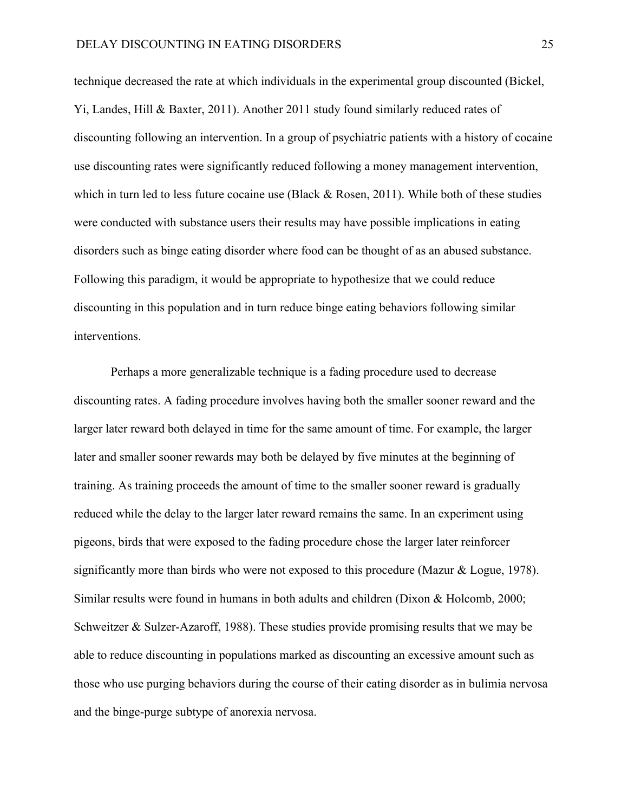technique decreased the rate at which individuals in the experimental group discounted (Bickel, Yi, Landes, Hill & Baxter, 2011). Another 2011 study found similarly reduced rates of discounting following an intervention. In a group of psychiatric patients with a history of cocaine use discounting rates were significantly reduced following a money management intervention, which in turn led to less future cocaine use (Black  $\&$  Rosen, 2011). While both of these studies were conducted with substance users their results may have possible implications in eating disorders such as binge eating disorder where food can be thought of as an abused substance. Following this paradigm, it would be appropriate to hypothesize that we could reduce discounting in this population and in turn reduce binge eating behaviors following similar interventions.

Perhaps a more generalizable technique is a fading procedure used to decrease discounting rates. A fading procedure involves having both the smaller sooner reward and the larger later reward both delayed in time for the same amount of time. For example, the larger later and smaller sooner rewards may both be delayed by five minutes at the beginning of training. As training proceeds the amount of time to the smaller sooner reward is gradually reduced while the delay to the larger later reward remains the same. In an experiment using pigeons, birds that were exposed to the fading procedure chose the larger later reinforcer significantly more than birds who were not exposed to this procedure (Mazur & Logue, 1978). Similar results were found in humans in both adults and children (Dixon & Holcomb, 2000; Schweitzer & Sulzer-Azaroff, 1988). These studies provide promising results that we may be able to reduce discounting in populations marked as discounting an excessive amount such as those who use purging behaviors during the course of their eating disorder as in bulimia nervosa and the binge-purge subtype of anorexia nervosa.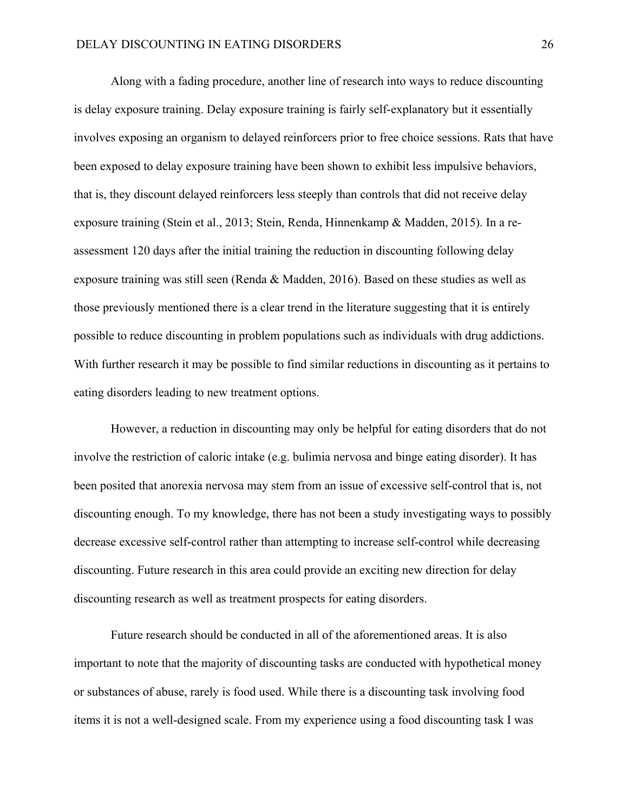Along with a fading procedure, another line of research into ways to reduce discounting is delay exposure training. Delay exposure training is fairly self-explanatory but it essentially involves exposing an organism to delayed reinforcers prior to free choice sessions. Rats that have been exposed to delay exposure training have been shown to exhibit less impulsive behaviors, that is, they discount delayed reinforcers less steeply than controls that did not receive delay exposure training (Stein et al., 2013; Stein, Renda, Hinnenkamp & Madden, 2015). In a reassessment 120 days after the initial training the reduction in discounting following delay exposure training was still seen (Renda & Madden, 2016). Based on these studies as well as those previously mentioned there is a clear trend in the literature suggesting that it is entirely possible to reduce discounting in problem populations such as individuals with drug addictions. With further research it may be possible to find similar reductions in discounting as it pertains to eating disorders leading to new treatment options.

However, a reduction in discounting may only be helpful for eating disorders that do not involve the restriction of caloric intake (e.g. bulimia nervosa and binge eating disorder). It has been posited that anorexia nervosa may stem from an issue of excessive self-control that is, not discounting enough. To my knowledge, there has not been a study investigating ways to possibly decrease excessive self-control rather than attempting to increase self-control while decreasing discounting. Future research in this area could provide an exciting new direction for delay discounting research as well as treatment prospects for eating disorders.

Future research should be conducted in all of the aforementioned areas. It is also important to note that the majority of discounting tasks are conducted with hypothetical money or substances of abuse, rarely is food used. While there is a discounting task involving food items it is not a well-designed scale. From my experience using a food discounting task I was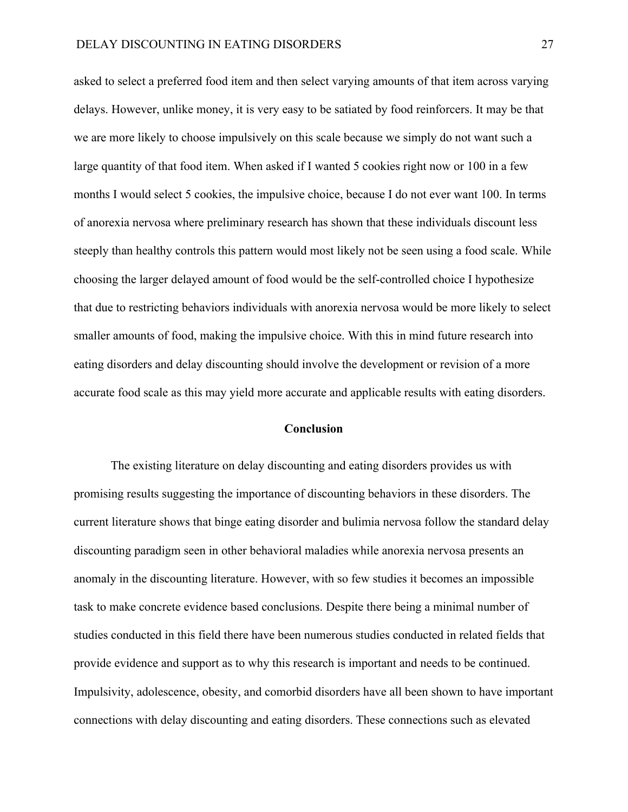asked to select a preferred food item and then select varying amounts of that item across varying delays. However, unlike money, it is very easy to be satiated by food reinforcers. It may be that we are more likely to choose impulsively on this scale because we simply do not want such a large quantity of that food item. When asked if I wanted 5 cookies right now or 100 in a few months I would select 5 cookies, the impulsive choice, because I do not ever want 100. In terms of anorexia nervosa where preliminary research has shown that these individuals discount less steeply than healthy controls this pattern would most likely not be seen using a food scale. While choosing the larger delayed amount of food would be the self-controlled choice I hypothesize that due to restricting behaviors individuals with anorexia nervosa would be more likely to select smaller amounts of food, making the impulsive choice. With this in mind future research into eating disorders and delay discounting should involve the development or revision of a more accurate food scale as this may yield more accurate and applicable results with eating disorders.

## **Conclusion**

The existing literature on delay discounting and eating disorders provides us with promising results suggesting the importance of discounting behaviors in these disorders. The current literature shows that binge eating disorder and bulimia nervosa follow the standard delay discounting paradigm seen in other behavioral maladies while anorexia nervosa presents an anomaly in the discounting literature. However, with so few studies it becomes an impossible task to make concrete evidence based conclusions. Despite there being a minimal number of studies conducted in this field there have been numerous studies conducted in related fields that provide evidence and support as to why this research is important and needs to be continued. Impulsivity, adolescence, obesity, and comorbid disorders have all been shown to have important connections with delay discounting and eating disorders. These connections such as elevated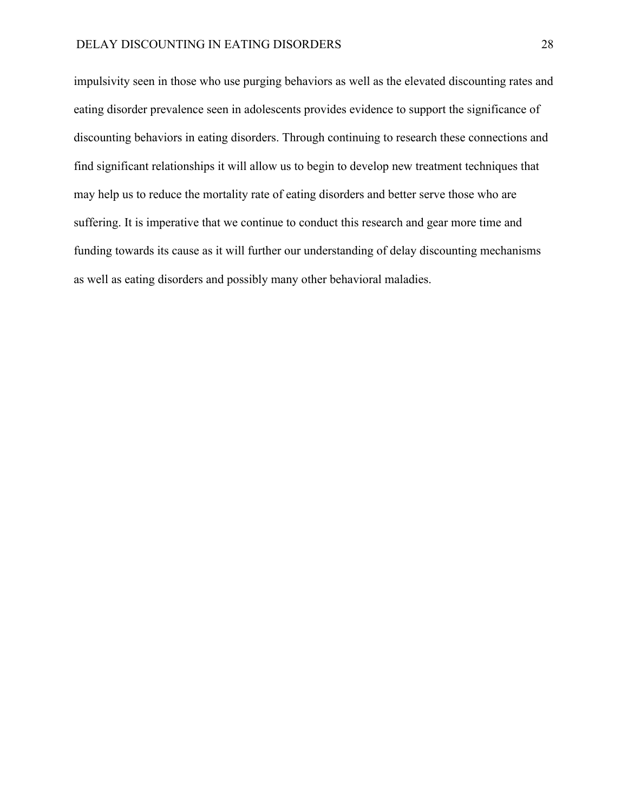impulsivity seen in those who use purging behaviors as well as the elevated discounting rates and eating disorder prevalence seen in adolescents provides evidence to support the significance of discounting behaviors in eating disorders. Through continuing to research these connections and find significant relationships it will allow us to begin to develop new treatment techniques that may help us to reduce the mortality rate of eating disorders and better serve those who are suffering. It is imperative that we continue to conduct this research and gear more time and funding towards its cause as it will further our understanding of delay discounting mechanisms as well as eating disorders and possibly many other behavioral maladies.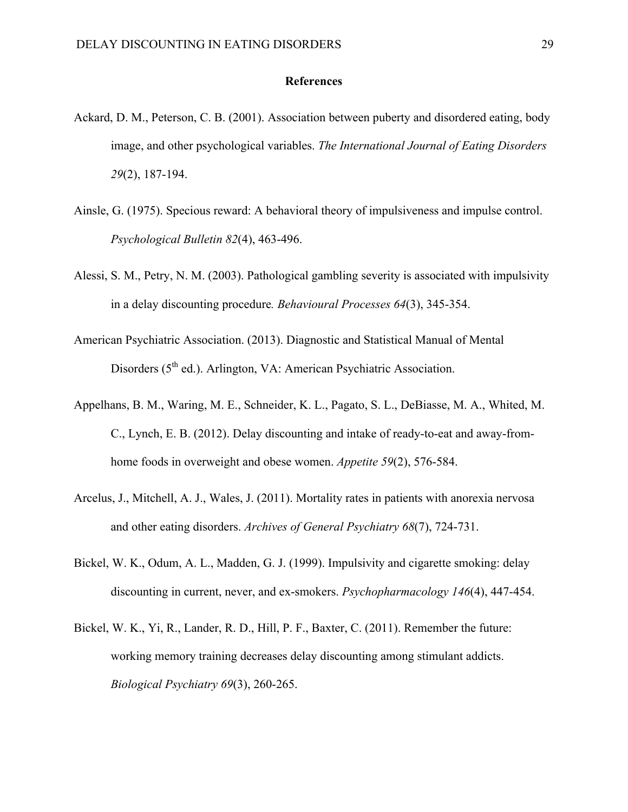### **References**

- Ackard, D. M., Peterson, C. B. (2001). Association between puberty and disordered eating, body image, and other psychological variables. *The International Journal of Eating Disorders 29*(2), 187-194.
- Ainsle, G. (1975). Specious reward: A behavioral theory of impulsiveness and impulse control. *Psychological Bulletin 82*(4), 463-496.
- Alessi, S. M., Petry, N. M. (2003). Pathological gambling severity is associated with impulsivity in a delay discounting procedure*. Behavioural Processes 64*(3), 345-354.
- American Psychiatric Association. (2013). Diagnostic and Statistical Manual of Mental Disorders (5<sup>th</sup> ed.). Arlington, VA: American Psychiatric Association.
- Appelhans, B. M., Waring, M. E., Schneider, K. L., Pagato, S. L., DeBiasse, M. A., Whited, M. C., Lynch, E. B. (2012). Delay discounting and intake of ready-to-eat and away-fromhome foods in overweight and obese women. *Appetite 59*(2), 576-584.
- Arcelus, J., Mitchell, A. J., Wales, J. (2011). Mortality rates in patients with anorexia nervosa and other eating disorders. *Archives of General Psychiatry 68*(7), 724-731.
- Bickel, W. K., Odum, A. L., Madden, G. J. (1999). Impulsivity and cigarette smoking: delay discounting in current, never, and ex-smokers. *Psychopharmacology 146*(4), 447-454.
- Bickel, W. K., Yi, R., Lander, R. D., Hill, P. F., Baxter, C. (2011). Remember the future: working memory training decreases delay discounting among stimulant addicts. *Biological Psychiatry 69*(3), 260-265.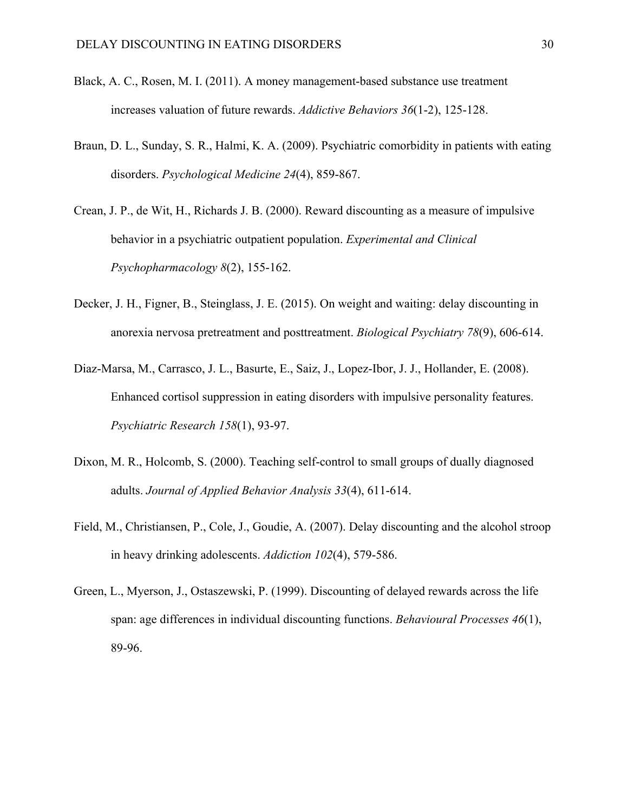- Black, A. C., Rosen, M. I. (2011). A money management-based substance use treatment increases valuation of future rewards. *Addictive Behaviors 36*(1-2), 125-128.
- Braun, D. L., Sunday, S. R., Halmi, K. A. (2009). Psychiatric comorbidity in patients with eating disorders. *Psychological Medicine 24*(4), 859-867.
- Crean, J. P., de Wit, H., Richards J. B. (2000). Reward discounting as a measure of impulsive behavior in a psychiatric outpatient population. *Experimental and Clinical Psychopharmacology 8*(2), 155-162.
- Decker, J. H., Figner, B., Steinglass, J. E. (2015). On weight and waiting: delay discounting in anorexia nervosa pretreatment and posttreatment. *Biological Psychiatry 78*(9), 606-614.
- Diaz-Marsa, M., Carrasco, J. L., Basurte, E., Saiz, J., Lopez-Ibor, J. J., Hollander, E. (2008). Enhanced cortisol suppression in eating disorders with impulsive personality features. *Psychiatric Research 158*(1), 93-97.
- Dixon, M. R., Holcomb, S. (2000). Teaching self-control to small groups of dually diagnosed adults. *Journal of Applied Behavior Analysis 33*(4), 611-614.
- Field, M., Christiansen, P., Cole, J., Goudie, A. (2007). Delay discounting and the alcohol stroop in heavy drinking adolescents. *Addiction 102*(4), 579-586.
- Green, L., Myerson, J., Ostaszewski, P. (1999). Discounting of delayed rewards across the life span: age differences in individual discounting functions. *Behavioural Processes 46*(1), 89-96.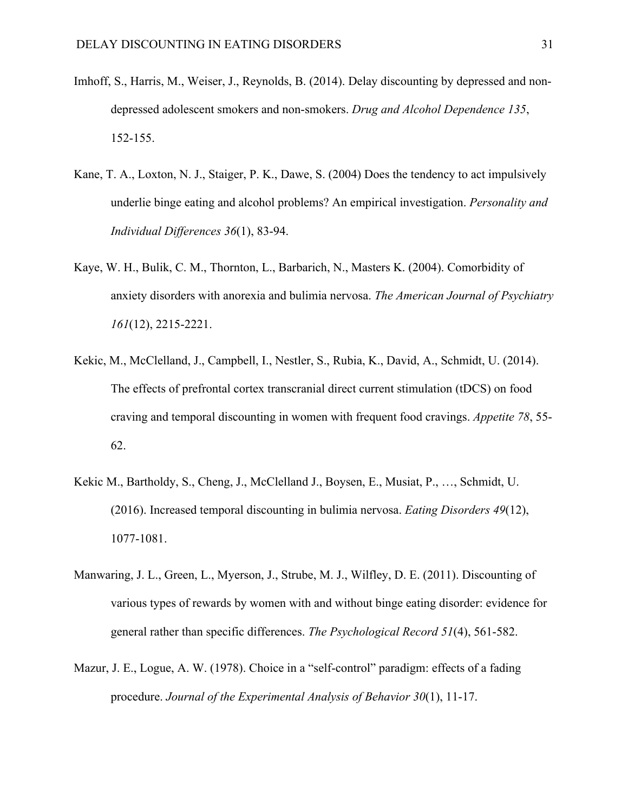- Imhoff, S., Harris, M., Weiser, J., Reynolds, B. (2014). Delay discounting by depressed and nondepressed adolescent smokers and non-smokers. *Drug and Alcohol Dependence 135*, 152-155.
- Kane, T. A., Loxton, N. J., Staiger, P. K., Dawe, S. (2004) Does the tendency to act impulsively underlie binge eating and alcohol problems? An empirical investigation. *Personality and Individual Differences 36*(1), 83-94.
- Kaye, W. H., Bulik, C. M., Thornton, L., Barbarich, N., Masters K. (2004). Comorbidity of anxiety disorders with anorexia and bulimia nervosa. *The American Journal of Psychiatry 161*(12), 2215-2221.
- Kekic, M., McClelland, J., Campbell, I., Nestler, S., Rubia, K., David, A., Schmidt, U. (2014). The effects of prefrontal cortex transcranial direct current stimulation (tDCS) on food craving and temporal discounting in women with frequent food cravings. *Appetite 78*, 55- 62.
- Kekic M., Bartholdy, S., Cheng, J., McClelland J., Boysen, E., Musiat, P., …, Schmidt, U. (2016). Increased temporal discounting in bulimia nervosa. *Eating Disorders 49*(12), 1077-1081.
- Manwaring, J. L., Green, L., Myerson, J., Strube, M. J., Wilfley, D. E. (2011). Discounting of various types of rewards by women with and without binge eating disorder: evidence for general rather than specific differences. *The Psychological Record 51*(4), 561-582.
- Mazur, J. E., Logue, A. W. (1978). Choice in a "self-control" paradigm: effects of a fading procedure. *Journal of the Experimental Analysis of Behavior 30*(1), 11-17.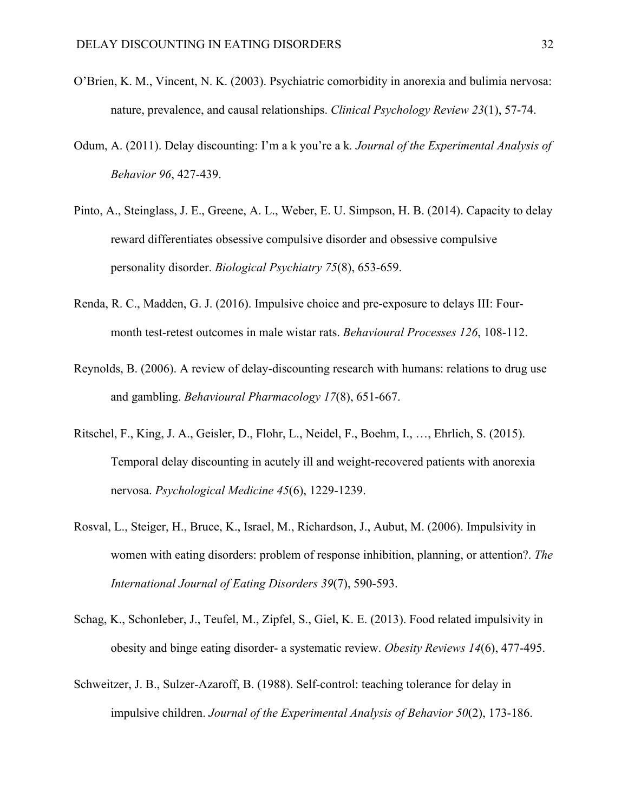- O'Brien, K. M., Vincent, N. K. (2003). Psychiatric comorbidity in anorexia and bulimia nervosa: nature, prevalence, and causal relationships. *Clinical Psychology Review 23*(1), 57-74.
- Odum, A. (2011). Delay discounting: I'm a k you're a k*. Journal of the Experimental Analysis of Behavior 96*, 427-439.
- Pinto, A., Steinglass, J. E., Greene, A. L., Weber, E. U. Simpson, H. B. (2014). Capacity to delay reward differentiates obsessive compulsive disorder and obsessive compulsive personality disorder. *Biological Psychiatry 75*(8), 653-659.
- Renda, R. C., Madden, G. J. (2016). Impulsive choice and pre-exposure to delays III: Fourmonth test-retest outcomes in male wistar rats. *Behavioural Processes 126*, 108-112.
- Reynolds, B. (2006). A review of delay-discounting research with humans: relations to drug use and gambling. *Behavioural Pharmacology 17*(8), 651-667.
- Ritschel, F., King, J. A., Geisler, D., Flohr, L., Neidel, F., Boehm, I., …, Ehrlich, S. (2015). Temporal delay discounting in acutely ill and weight-recovered patients with anorexia nervosa. *Psychological Medicine 45*(6), 1229-1239.
- Rosval, L., Steiger, H., Bruce, K., Israel, M., Richardson, J., Aubut, M. (2006). Impulsivity in women with eating disorders: problem of response inhibition, planning, or attention?. *The International Journal of Eating Disorders 39*(7), 590-593.
- Schag, K., Schonleber, J., Teufel, M., Zipfel, S., Giel, K. E. (2013). Food related impulsivity in obesity and binge eating disorder- a systematic review. *Obesity Reviews 14*(6), 477-495.
- Schweitzer, J. B., Sulzer-Azaroff, B. (1988). Self-control: teaching tolerance for delay in impulsive children. *Journal of the Experimental Analysis of Behavior 50*(2), 173-186.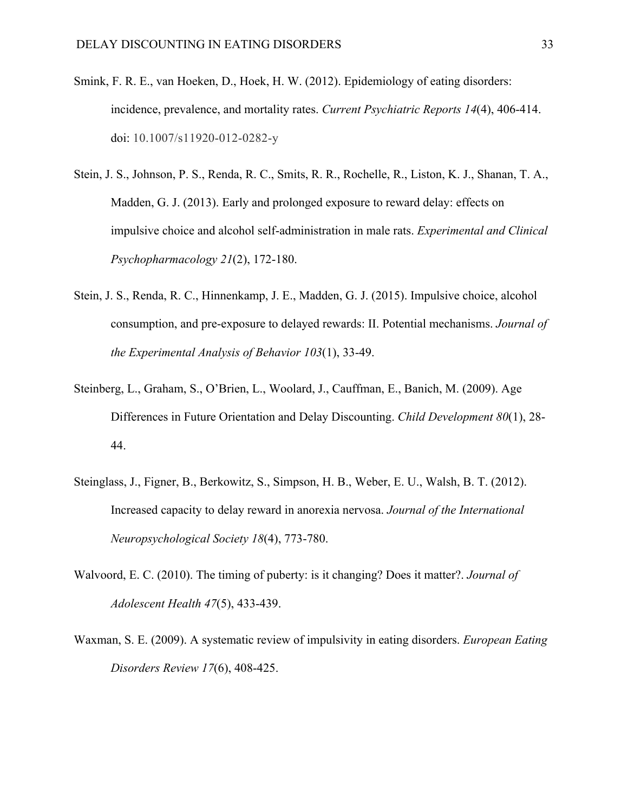- Smink, F. R. E., van Hoeken, D., Hoek, H. W. (2012). Epidemiology of eating disorders: incidence, prevalence, and mortality rates. *Current Psychiatric Reports 14*(4), 406-414. doi: 10.1007/s11920-012-0282-y
- Stein, J. S., Johnson, P. S., Renda, R. C., Smits, R. R., Rochelle, R., Liston, K. J., Shanan, T. A., Madden, G. J. (2013). Early and prolonged exposure to reward delay: effects on impulsive choice and alcohol self-administration in male rats. *Experimental and Clinical Psychopharmacology 21*(2), 172-180.
- Stein, J. S., Renda, R. C., Hinnenkamp, J. E., Madden, G. J. (2015). Impulsive choice, alcohol consumption, and pre-exposure to delayed rewards: II. Potential mechanisms. *Journal of the Experimental Analysis of Behavior 103*(1), 33-49.
- Steinberg, L., Graham, S., O'Brien, L., Woolard, J., Cauffman, E., Banich, M. (2009). Age Differences in Future Orientation and Delay Discounting. *Child Development 80*(1), 28- 44.
- Steinglass, J., Figner, B., Berkowitz, S., Simpson, H. B., Weber, E. U., Walsh, B. T. (2012). Increased capacity to delay reward in anorexia nervosa. *Journal of the International Neuropsychological Society 18*(4), 773-780.
- Walvoord, E. C. (2010). The timing of puberty: is it changing? Does it matter?. *Journal of Adolescent Health 47*(5), 433-439.
- Waxman, S. E. (2009). A systematic review of impulsivity in eating disorders. *European Eating Disorders Review 17*(6), 408-425.